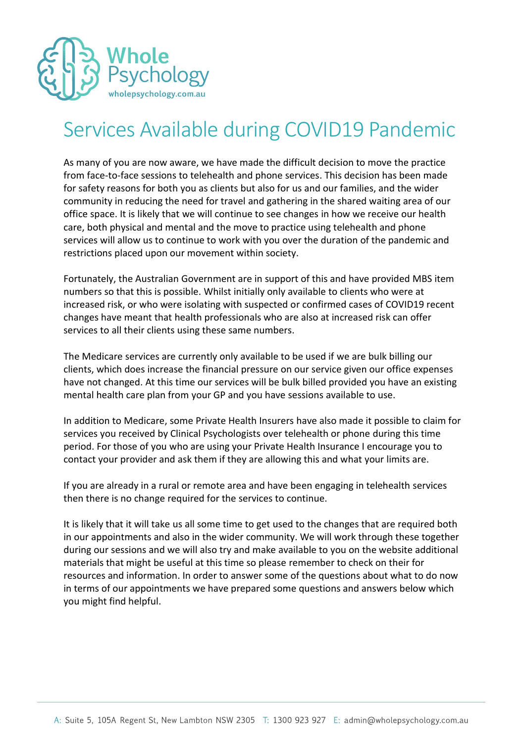

# Services Available during COVID19 Pandemic

As many of you are now aware, we have made the difficult decision to move the practice from face-to-face sessions to telehealth and phone services. This decision has been made for safety reasons for both you as clients but also for us and our families, and the wider community in reducing the need for travel and gathering in the shared waiting area of our office space. It is likely that we will continue to see changes in how we receive our health care, both physical and mental and the move to practice using telehealth and phone services will allow us to continue to work with you over the duration of the pandemic and restrictions placed upon our movement within society.

Fortunately, the Australian Government are in support of this and have provided MBS item numbers so that this is possible. Whilst initially only available to clients who were at increased risk, or who were isolating with suspected or confirmed cases of COVID19 recent changes have meant that health professionals who are also at increased risk can offer services to all their clients using these same numbers.

The Medicare services are currently only available to be used if we are bulk billing our clients, which does increase the financial pressure on our service given our office expenses have not changed. At this time our services will be bulk billed provided you have an existing mental health care plan from your GP and you have sessions available to use.

In addition to Medicare, some Private Health Insurers have also made it possible to claim for services you received by Clinical Psychologists over telehealth or phone during this time period. For those of you who are using your Private Health Insurance I encourage you to contact your provider and ask them if they are allowing this and what your limits are.

If you are already in a rural or remote area and have been engaging in telehealth services then there is no change required for the services to continue.

It is likely that it will take us all some time to get used to the changes that are required both in our appointments and also in the wider community. We will work through these together during our sessions and we will also try and make available to you on the website additional materials that might be useful at this time so please remember to check on their for resources and information. In order to answer some of the questions about what to do now in terms of our appointments we have prepared some questions and answers below which you might find helpful.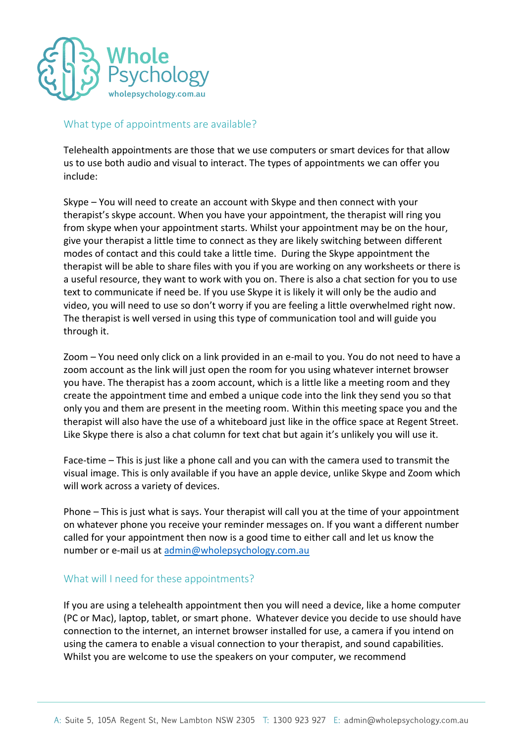

#### What type of appointments are available?

Telehealth appointments are those that we use computers or smart devices for that allow us to use both audio and visual to interact. The types of appointments we can offer you include:

Skype – You will need to create an account with Skype and then connect with your therapist's skype account. When you have your appointment, the therapist will ring you from skype when your appointment starts. Whilst your appointment may be on the hour, give your therapist a little time to connect as they are likely switching between different modes of contact and this could take a little time. During the Skype appointment the therapist will be able to share files with you if you are working on any worksheets or there is a useful resource, they want to work with you on. There is also a chat section for you to use text to communicate if need be. If you use Skype it is likely it will only be the audio and video, you will need to use so don't worry if you are feeling a little overwhelmed right now. The therapist is well versed in using this type of communication tool and will guide you through it.

Zoom – You need only click on a link provided in an e-mail to you. You do not need to have a zoom account as the link will just open the room for you using whatever internet browser you have. The therapist has a zoom account, which is a little like a meeting room and they create the appointment time and embed a unique code into the link they send you so that only you and them are present in the meeting room. Within this meeting space you and the therapist will also have the use of a whiteboard just like in the office space at Regent Street. Like Skype there is also a chat column for text chat but again it's unlikely you will use it.

Face-time – This is just like a phone call and you can with the camera used to transmit the visual image. This is only available if you have an apple device, unlike Skype and Zoom which will work across a variety of devices.

Phone – This is just what is says. Your therapist will call you at the time of your appointment on whatever phone you receive your reminder messages on. If you want a different number called for your appointment then now is a good time to either call and let us know the number or e-mail us at [admin@wholepsychology.com.au](mailto:admin@wholepsychology.com.au)

## What will I need for these appointments?

If you are using a telehealth appointment then you will need a device, like a home computer (PC or Mac), laptop, tablet, or smart phone. Whatever device you decide to use should have connection to the internet, an internet browser installed for use, a camera if you intend on using the camera to enable a visual connection to your therapist, and sound capabilities. Whilst you are welcome to use the speakers on your computer, we recommend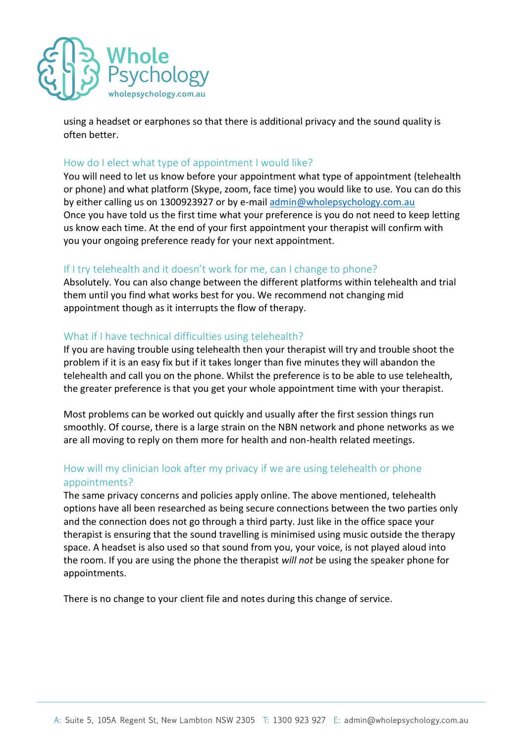

using a headset or earphones so that there is additional privacy and the sound quality is often better.

## How do I elect what type of appointment I would like?

You will need to let us know before your appointment what type of appointment (telehealth or phone) and what platform (Skype, zoom, face time) you would like to use. You can do this by either calling us on 1300923927 or by e-mai[l admin@wholepsychology.com.au](mailto:admin@wholepsychology.com.au) Once you have told us the first time what your preference is you do not need to keep letting us know each time. At the end of your first appointment your therapist will confirm with you your ongoing preference ready for your next appointment.

## If I try telehealth and it doesn't work for me, can I change to phone?

Absolutely. You can also change between the different platforms within telehealth and trial them until you find what works best for you. We recommend not changing mid appointment though as it interrupts the flow of therapy.

## What if I have technical difficulties using telehealth?

If you are having trouble using telehealth then your therapist will try and trouble shoot the problem if it is an easy fix but if it takes longer than five minutes they will abandon the telehealth and call you on the phone. Whilst the preference is to be able to use telehealth, the greater preference is that you get your whole appointment time with your therapist.

Most problems can be worked out quickly and usually after the first session things run smoothly. Of course, there is a large strain on the NBN network and phone networks as we are all moving to reply on them more for health and non-health related meetings.

## How will my clinician look after my privacy if we are using telehealth or phone appointments?

The same privacy concerns and policies apply online. The above mentioned, telehealth options have all been researched as being secure connections between the two parties only and the connection does not go through a third party. Just like in the office space your therapist is ensuring that the sound travelling is minimised using music outside the therapy space. A headset is also used so that sound from you, your voice, is not played aloud into the room. If you are using the phone the therapist *will not* be using the speaker phone for appointments.

There is no change to your client file and notes during this change of service.